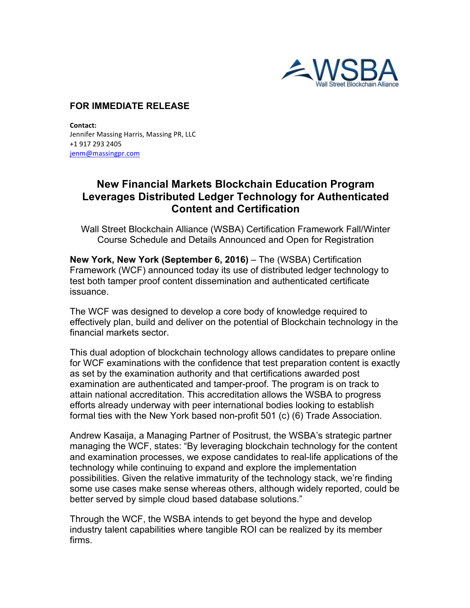

## **FOR IMMEDIATE RELEASE**

**Contact:** Jennifer Massing Harris, Massing PR, LLC +1 917 293 2405 jenm@massingpr.com

## **New Financial Markets Blockchain Education Program Leverages Distributed Ledger Technology for Authenticated Content and Certification**

Wall Street Blockchain Alliance (WSBA) Certification Framework Fall/Winter Course Schedule and Details Announced and Open for Registration

**New York, New York (September 6, 2016)** – The (WSBA) Certification Framework (WCF) announced today its use of distributed ledger technology to test both tamper proof content dissemination and authenticated certificate issuance.

The WCF was designed to develop a core body of knowledge required to effectively plan, build and deliver on the potential of Blockchain technology in the financial markets sector.

This dual adoption of blockchain technology allows candidates to prepare online for WCF examinations with the confidence that test preparation content is exactly as set by the examination authority and that certifications awarded post examination are authenticated and tamper-proof. The program is on track to attain national accreditation. This accreditation allows the WSBA to progress efforts already underway with peer international bodies looking to establish formal ties with the New York based non-profit 501 (c) (6) Trade Association.

Andrew Kasaija, a Managing Partner of Positrust, the WSBA's strategic partner managing the WCF, states: "By leveraging blockchain technology for the content and examination processes, we expose candidates to real-life applications of the technology while continuing to expand and explore the implementation possibilities. Given the relative immaturity of the technology stack, we're finding some use cases make sense whereas others, although widely reported, could be better served by simple cloud based database solutions."

Through the WCF, the WSBA intends to get beyond the hype and develop industry talent capabilities where tangible ROI can be realized by its member firms.